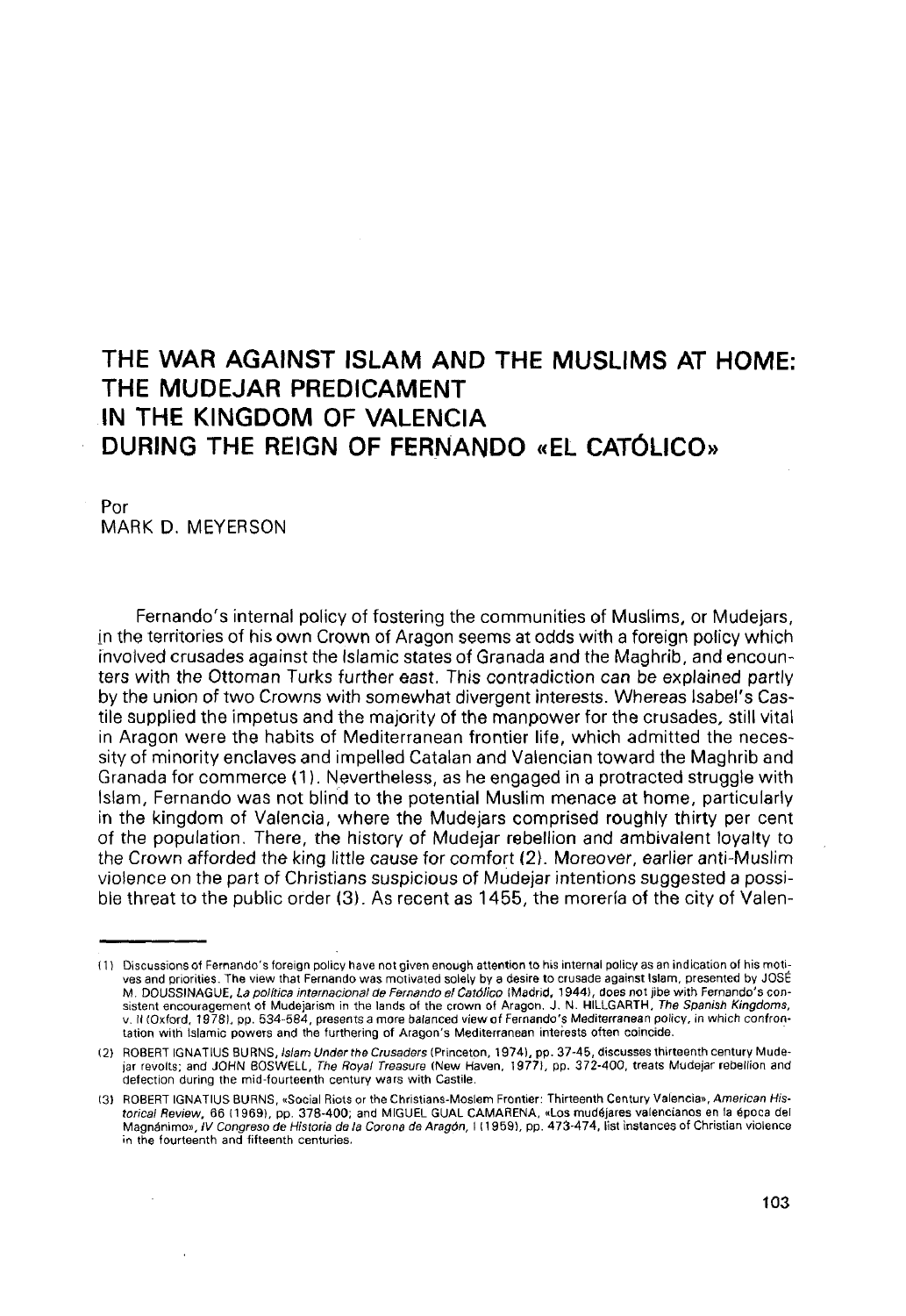## THE WAR AGAINST ISLAM AND THE MUSLIMS AT HOME: THE MUDEJAR PREDICAMENT IN THE KINGDOM OF VALENCIA DURING THE REIGN OF FERNANDO «EL CATÓLICO»

Por MARK D. MEYERSON

Fernando's internal policy of fostering the communities of Muslims, or Mudejars, in the territories of his own Crown of Aragón seems at odds with a foreign policy which invoived crusades against the Islamic states of Granada and the Maghrib, and encounters with the Ottoman Turks further east. This contradiction can be explained partly by the union of two Crowns with somewhat divergent interests. Whereas Isabel's Castile supplied the Ímpetus and the majority of the manpower for the crusades, still vital in Aragón were the habits of Mediterranean frontier life, which admitted the necessity of minority enclaves and impelled Catalan and Valencian toward the Maghrib and Granada for commerce (1). Nevertheless, as he engaged in a protracted struggle with Islam, Fernando was not blind to the potential Muslim menace at home, particularly in the kingdom of Valencia, where the Mudejars comprised roughly thirty per cent of the population. There, the history of Mudejar rebellion and ambivalent loyalty to the Crown afforded the king little cause for comfort (2). Moreover, earlier anti-Muslim violence on the part of Christians suspicious of Mudejar intentions suggested a possible threat to the public order (3). As recent as 1455, the morena of the city of Valen-

<sup>11)</sup> Discussions of Fernando's foreign policy nave not given enough attention to his internal policy as an indication of his motives and priorities. The view that Fernando was motivated solely by a desire to crusade against Islam, presented by JOSÉ M. DOUSSINAGUE, La política internacional de Fernando el Católico (Madrid, 1944), does not jibe with Fernando's consistent encouragement of Mudejarism m the lands of the crown of Aragón. J . N. HILLGARTH, The Spanish Kingdoms, v. II (Oxford, 19781, pp. 534-584, presents a more balanced view of Fernando's Mediterranean policy, in which confrontation with Islamic powers and the furthering of Aragon's Mediterranean interests often coincide.

<sup>(2)</sup> ROBERT IGNATIUS BURNS, Islam Under the Crusaders (Princeton, 1974), pp. 37-45, discusses thirteenth century Mudejar revolts; and JOHN BOSWELL, The Royal Treasure (New Haven, 1977), pp. 372-400, treats Mudejar rebellion and defectíon during the mid-fourteenth century wars with Castile.

<sup>(31</sup> ROBERT IGNATIUS BURNS, «Social Riots or the Christians-Moslem Frontier: Thirteenth Century Valencia», American Historical Review. 66 (1969), pp. 378-400; and MIGUEL GUAL CAMARENA, «Los mudejares valencianos en la época del Magnánimo», IV Congreso de Historia de la Corona de Aragón, I (1959), pp. 473-474, list instances of Christian violence in the fourteenth and fifteenth centuries.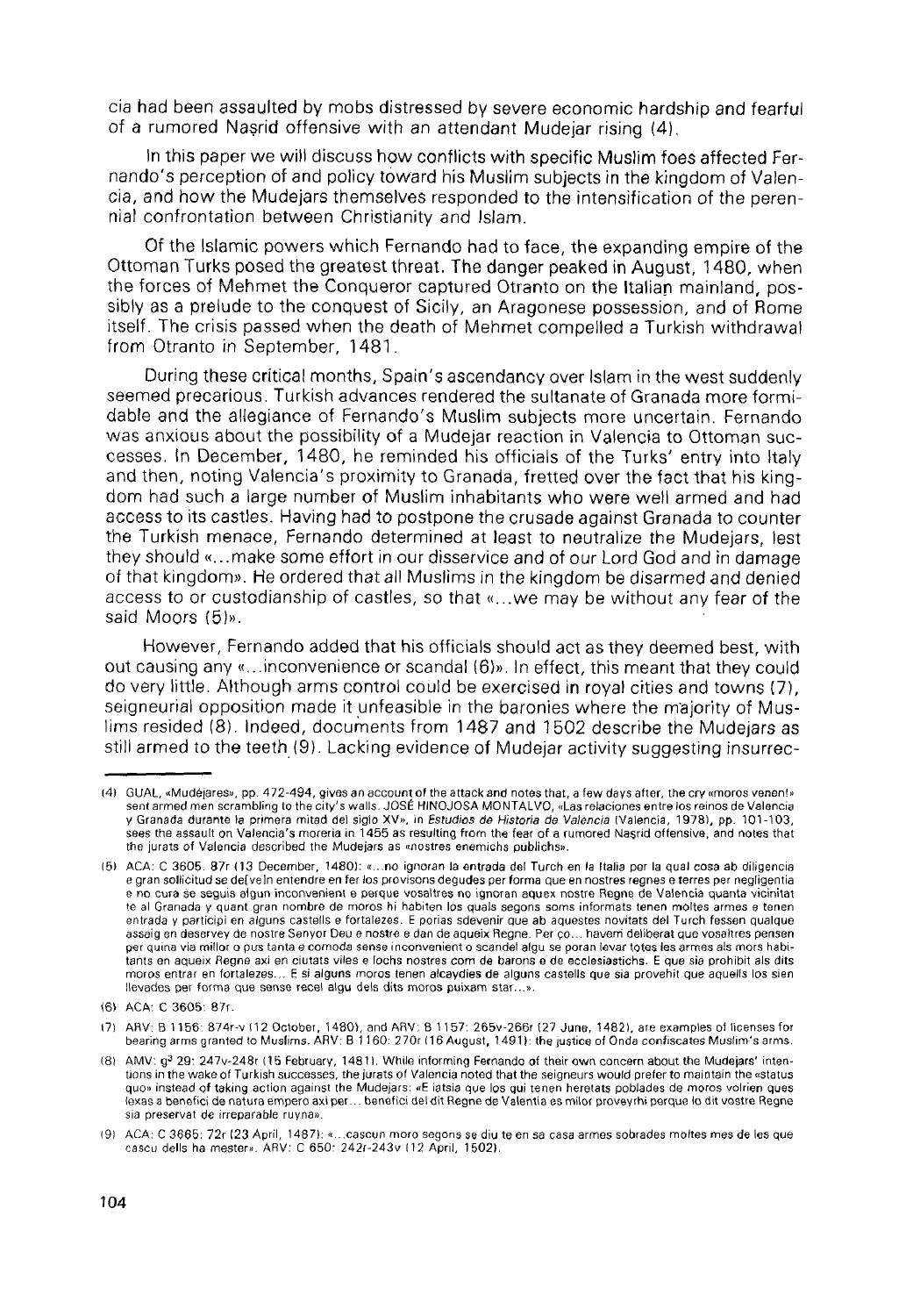cia had been assaulted by mobs distressed by severe economic hardship and fearful of a rumored Nasrid offensive with an attendant Mudejar rising (4).

In thís paper we will discuss how conflicts with specific Muslim foes affected Fernando's perception of and policy toward his Muslim subjects in the kingdom of Valencia, and how the Mudejars themselves responded to the intensification of the perennial confrontation between Christianity and Islam.

Of the Islamic powers which Fernando had to face, the expanding empire of the Ottoman Turks posed the greatest threat. The danger peaked in August, 1480, when the torces of Mehmet the Conqueror captured Otranto on the Italian mainland, possibly as a prelude to the conquest of Sicily, an Aragonese possession, and of Rome itself. The crisis passed when the death of Mehmet compelled a Turkish withdrawal from Otranto in September, 1481.

During these critical months, Spain's ascendancy over Islam in the west suddenly seemed precarious. Turkish advances rendered the sultanate of Granada more formidable and the allegiance of Fernando's Muslim subjects more uncertain. Fernando was anxious about the possibility of a Mudejar reaction in Valencia to Ottoman successes. In December, 1480, he reminded his officials of the Turks' entry into Italy and then, noting Valencia's proximity to Granada, fretted over the fact that his kingdom had such a large number of Muslim inhabitants who were well armed and had access to its castles. Having had to postpone the crusade against Granada to counter the Turkish menace, Fernando determined at least to neutralize the Mudejars, lest they should «...make some effort in our disservice and of our Lord God and in damage of that kingdom». He ordered that all Muslims in the kingdom be disarmed and denied access to or custodianship of castles, so that «...we may be without any fear of the said Moors (5)».

However, Fernando added that his officials should act as they deemed best, with out causing any «...inconvenience orscandal (6)». In effect, this meant that they could do very little. Although arms control could be exercised in royal cities and towns (7), seigneurial opposition made it unfeasible in the baronies where the majority of Muslims resided (8). Indeed, documents from 1487 and 1502 describe the Mudejars as still armed to the teeth (9). Lacking evidence of Mudejar activity suggesting insurrec-

<sup>(4)</sup> GUAL, «Mudéjares», pp. 472-494, gives an account of the attack and notes that, a few days after, the cry «moros venen!» sent armed men scrambling to the city's walls. JOSÉ HINOJOSA MONTALVO, «Las relaciones entre los reinos de Valencia y Granada durante la primera mitad del siglo XV», in Estudios de Historia de Valencia (Valencia, 19781, pp. 101-103, sees the assault on Valencia's morería in 1455 as resulting from the fear of a rumored Nasrid offensive, and notes that the jurats of Valencia described the Mudejars as «nostres enemichs publichs».

<sup>[51</sup> ACÁ: C 3605. 87r (13 December, 1480): «...no ignoran la entrada del Turch en la Italia per la qual cosa ab diligencia e gran sollioitud se deíveln entendre en fer los provisons degudes per forma que en nostres regnes e terres per negligentia e no cura se seguis algun inconvenient e perque vosaltres no ignoran aquex nostre Regne de Valencia quanta vícinitat te al Granada y quant gran nombre de moros hi habiten los quals segons soms informáts teñen moltes armes e teñen entrada y participi en alguns castells e fortalezes. E porias sdevenir que ab aqüestes novitats del Turch fessen qualque assaig en deservey de nostre Senyor Deu e nostre e dan de aqueix Regne. Per go... havem deliberat que vosaltres pensen per quina via millor o pus tanta e comoda sense inconvenient o scandel algu se poran levar totes les armes als mors habitants en aqueix Regne axi en ciutats viles e fochs nostres com de barons e de ecclesiastichs. E que sia prohibit ais dits moros entrar en fortalezes... E si alguns moros teñen alcaydies de alguns castells que sia provehit que aquells los sien llevades per forma que sense recel algu deis dits moros puixam star...».

<sup>(6)</sup> ACÁ: C 3605: 87r.

<sup>(71</sup> ARV: B 1156: 874r-v (12 October, 1480), and ARV: B 1157: 265v-266r (27 June, 1482), are examples of licenses for bearing arms granted to Muslims. ARV: B i 160: 270r (16 August, 1491): the justice of Onda confíscales Muslim's arms.

<sup>(8)</sup> AMV: g<sup>3</sup> 29: 247v-248r (15 February, 1481). While informing Fernando of their own concern about the Mudejars' intentions in the wake of Turkish successes, the jurats of Valencia noted that the seigneurs would prefer to maintaín the «status quo» instead of taking action against the Mudejars: «E iatsia que los qui teñen heretats poblades de moros volrien ques lexasa benefici de natura empero axi per... benefici deldit Regne de Valentía es mílor proveyrhi perqué lo dit vostre Regne sia preservat de irreparable ruyna».

<sup>(9)</sup> ACÁ: C 3665: 72r (23 April, 1487): «...cascun moro segons se díu te en sa casa armes sobrades moltes mes de les que cascu dells ha mester». ARV: C 650: 242r-243v (12 April, 15021.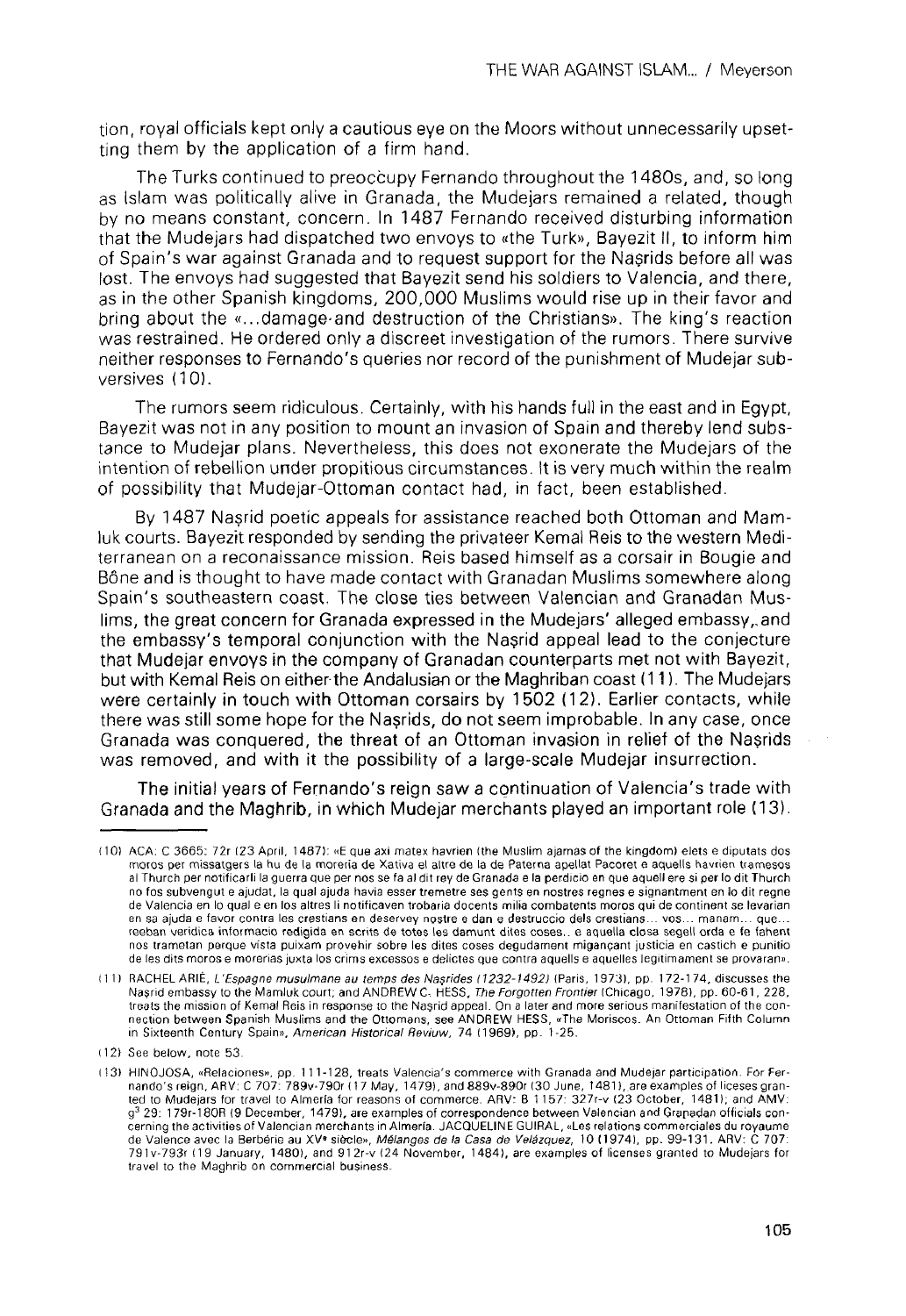tion, royal officials kept only a cautious eye on the Moors without unnecessarily upsetting them by the applícation of a firm hand.

The Turks continued to preoccupy Fernando throughout the 1480s, and, so long as Islam was politically alive in Granada, the Mudejars remained a related, though by no means constant, concern. In 1487 Fernando received disturbing information that the Mudejars had dispatched two envoys to «the Turk», Bayezit II, to inform him of Spain's war against Granada and to request support for the Nasrids before all was lost. The envoys had suggested that Bayezit send his soldiers to Valencia, and there, as in the other Spanish kingdoms, 200,000 Muslims would rise up in their favor and bring about the «...damage-and destruction of the Christians». The king's reaction was restrained. He ordered only a discreet investigation of the rumors. There survive neither responses to Fernando's queries ñor record of the punishment of Mudejar subversives (10).

The rumors seem ridiculous. Certainly, with his hands full in the east and in Egypt, Bayezit was not in any position to mount an invasión of Spain and thereby lend substance to Mudejar plans. Nevertheless, this does not exonérate the Mudejars of the intention of rebellion under propitious circumstances. It is very much within the realm of possibility that Mudejar-Ottoman contact had, in fact, been established.

By 1487 Nasrid poetic appeals for assistance reached both Ottoman and Mamluk courts. Bayezit responded by sending the privateer Kemal Reis to the western Mediterranean on a reconaissance mission. Reis based himself as a corsair in Bougie and Bóne and is thought to have made contact with Granadan Muslims somewhere along Spain's southeastern coast. The close ties between Valencian and Granadan Muslims, the great concern for Granada expressed in the Mudejars' alleged embassy, and the embassy's temporal conjunction with the Nasrid appeal lead to the conjecture that Mudejar envoys in the company of Granadan counterparts met not with Bayezit, but with Kemal Reis on either-the Andalusian or the Maghriban coast (11). The Mudejars were certainly in touch with Ottoman corsairs by 1502 (12). Earlier contacts, while there was still some hope for the Nasrids, do not seem improbable. In any case, once Granada was conquered, the threat of an Ottoman invasión in relief of the Nasrids was removed, and with it the possibility of a large-scale Mudejar insurrection.

The initial years of Fernando's reign saw a continuation of Valencia's trade with Granada and the Maghrib, in which Mudejar merchants played an important role (13).

<sup>(101</sup> ACÁ: C 3665: 72r (23 April, 1487): «E que axi matex havrien (the Muslim ajamas of the kingdom) elets e diputats dos moros per missatgers la hu de la morería de Xativa el altre de la de Paterna apellat Pacoret e aquells havrien tramesos al Thurch per notificarli la guerra que per nos se fa al dlt rey de Granada e la perdicio en que aquell ere si per lo dit Thurch no fos subvengut e ajudat, la qual ajuda havla esser tremetre ses gents en nostres regnes e signantment en Jo dit regne de Valencia en lo qual e en los altres li notificaven trobaria docents milia combatents moros qui de continent se levarían en sa ajuda e favor contra les crestians en deservey nostre e dan e destruccio deis crestians-.. vos... manam... que... reeban verídica informacio redigida en scrits de totes les damunt dites coses...e aquella closa segell orda e fe fahent nos trametan perqué vista puixam provenir sobre les dites coses degudament miganpant justicia en castich e punitio de les dits moros e morerias juxta los crims excessos e delicies que contra aquells e aquelles legitlmament se provaran».

<sup>(111</sup> RACHEL ARIÉ, L'Espagne musulmane au temps des Nasrides (1232-14921 (Paris, 1973), pp. 172-174, discusses the Nasrid embassy to the Mamluk court; and ANDREW C, HESS, The Forgotten Frontier (Chicago, 1978), pp. 60-61, 228, treats the mission of Kemal Reis in response ío the Nasrid appeal. On a later and more serious manifestation of the connection between Spanish Muslims and the Ottomans, see ANDREW HESS, «The Moriscos. An Ottoman Fifth Column.<br>in Sixteenth Century Spain», *American Historical Reviuw, 7*4 (1969), pp. 1-25.

<sup>(12)</sup> See below, note 53.

<sup>(13)</sup> HINOJOSA, «Relaciones», pp. 111 -128, treats Valencia's commerce with Granada and Mudejar participation. For Fernando's reign, ARV: C 707: 789v-790r (17 May, 1479), and 889v-890r (30 June, 1481), are examples of liceses gran-<br>ted to Mudeiars for travel to Almería for reasons of commerce. ARV: B 1157: 327r-v (23 October, 1481); and A g<sup>3</sup> 29: 179r-180R (9 December, 1479), are examples of correspondence between Valencian and Granadan officials concerning the activities of Valencian merchants in Almería. JACQUELINE GUIRAL, «Les relations commerciales du royaume de Valence avec la Berbérie au XV<sup>®</sup> siècle», Mélanges de la Casa de Velázquez, 10 (1974), pp. 99-131. ARV: C 707: 791 v-793r (1 9 January, 1480), and 91 2r-v (24 November, 1484), are examples of licenses granted to Mudejars for travel to the Maghrib on commercial business.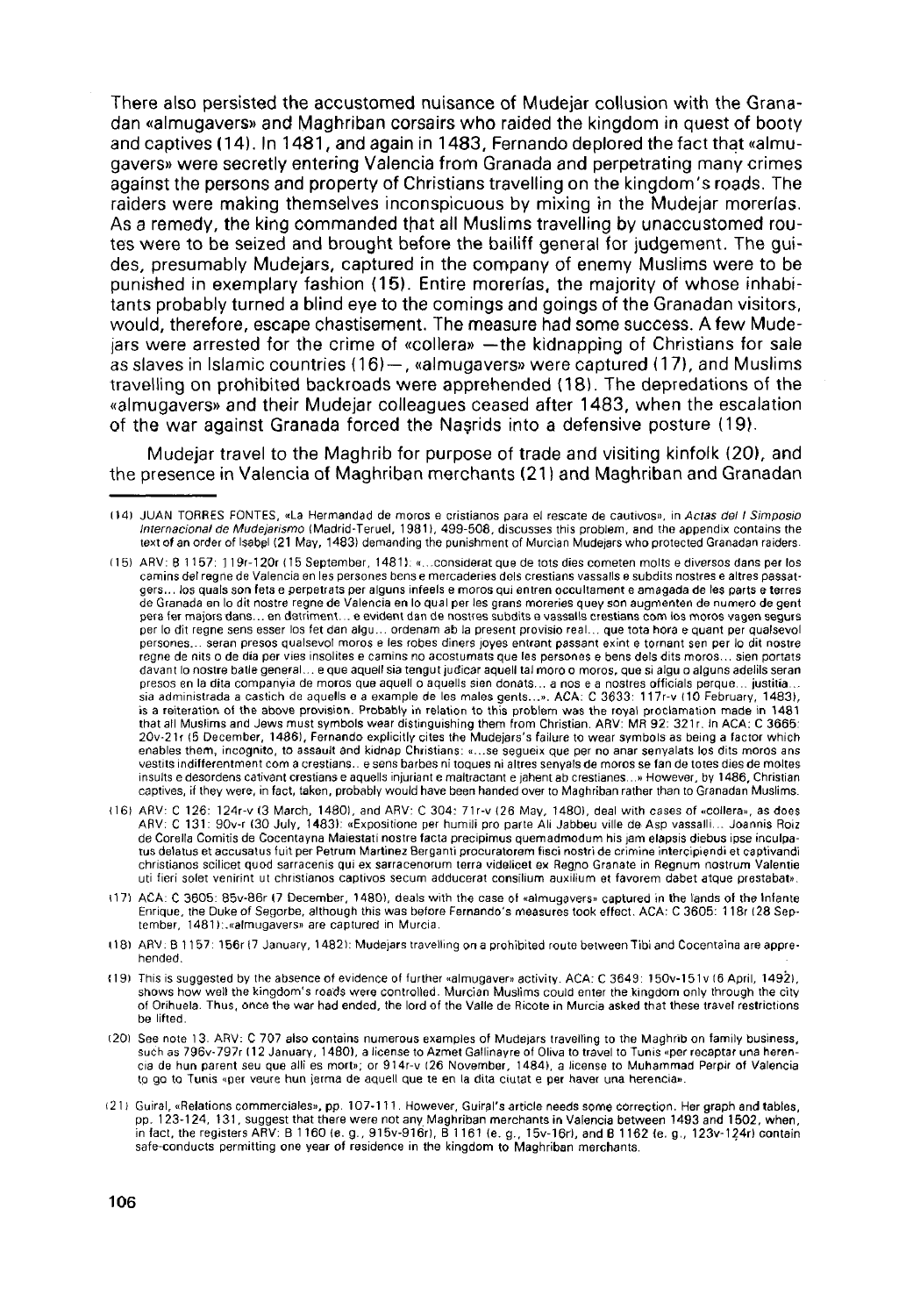There also persisted the accustomed nuisance of Mudejar collusion with the Granadan «almugavers» and Maghriban corsairs who raided the kingdom in quest of booty and captives (14). In 1481, and again in 1483, Fernando deplored the fact that «almugavers» were secretly entering Valencia from Granada and perpetrating many crimes agaínst the persons and property of Christians travelling on the kingdom's roads. The raiders were making themselves inconspicuous by mixing in the Mudejar morerías. As a remedy, the king commanded that all Muslims travelling by unaccustomed routes were to be seized and brought before the bailiff general for judgement. The guides, presumably Mudejars, captured in the company of enemy Muslims were to be punished in exemplary fashion (15). Entire morerías, the majority of whose inhabitants probably turned a blind eye to the comings and goings of the Granadan visitors, would, therefore, escape chastisement. The measure had some success. Afew Mudejars were arrested for the crime of «collera» —the kidnapping of Christians for sale as slaves in Islamic countries (16) — , «almugavers» were captured (17), and Muslims travelling on prohibited backroads were apprehended (18). The depredations of the «almugavers» and their Mudejar colleagues ceased after 1483, when the escalation of the war against Granada forced the Nasrids into a defensive posture (19).

Mudejar travel to the Maghrib for purpose of trade and visiting kinfolk (20), and the presence in Valencia of Maghriban merchants (21) and Maghriban and Granadan

<sup>144)</sup> JUAN TORRES FONTES, «La Hermandad de moros e cristíanos para el rescate de cautivos», in *Actas del I Simposio*<br>I*nternacional de Mudejarismo* (Madrid-Teruel, 1981), 499-508, discusses this problem, and the appendix text of an order of Isabel (21 May, 1483) demanding the punishment of Murcian Mudejars who protected Granadan raiders.

<sup>(15)</sup> ARV: 8 1157: 119r-120r (15 September, 1481): «...considerat que de tots dies cometen molts e diversos dans per los camins del regrie de Valencia en les persones bens e mercaderies deis crestians vassalls e subdits nostres e altres passatgers… los quals son fets e perpetrats per alguns infeels e moros qui entren occultament e amagada de les parts e terres<br>de Granada en lo dit nostre regne de Valencia en lo qual per les grans moreries quey son augmenten de pera fer majors dans... en detriment... e evident dan de nostres subdits e vassalls crestians com los moros vagen segurs per lo dit regne sens esser los fet dan aigu... ordenam ab la present provisio real... que tota hora e quant per qualsevol persones... serán presos qualsevol moros e les robes diners joyes entrant passant exint e tornant sen per lo dit nostre regne de nits o de día per vies insolites e camins no acostumats que les persones e bens deis dits moros... sien portats davant lo nostre batle general... e que aquell sia tengut judicar aquell tal moro o moros, que si algu o alguns adelils seran presos en la dita companyia de moros que aquell o aquells sien donats... a nos e a nostres officials perqué... justitia... sia administrada a castich de aquells e a example de les males gents...». ACÁ: C 3633: 117r-v 110 February, 1483), is a reiteration of the above provisión. Probably in relation to this problem was the royal proclamation made in 1481 that all Muslims and Jews must symbols wear distinguishing them from Christian. ARV: MR 92: 321r. In ACA: C 3665: 20v-21r (5 December, 1486), Fernando explicitly cites the Mudejars's failure to wear symbols as being a factor which enables them, incognito, to assault and kidnap Christians: «...se segueix que per no anar senyalats los dits moros ans vestits indifferentment com a crestians.. e sens barbes ni toques ni altres senyals de moros se fan de totes dies de moltes insults e desordens cativant crestians e aquells injuriant e maltractant e jahent ab crestianes...» However, by 1486, Christian captives, if they were, in fact, taken, probably would have been handed over to Maghriban rather than to Granadan Muslims.

<sup>16)</sup> ARV: C 126: 124r-v (3 March, 1480), and ARV: C 304: 71r-v (26 May, 1480), deal with cases of «collera», as does<br>ARV: C 131: 90v-r (30 July, 1483): «Expositione per humili pro parte Ali Jabbeu ville de Asp vassalli… Jo de Corella Comitis de Cocentayna Maiestati nostre facta precipimus quemadmodum his jam elapsis diebus ipse inculpatus delatus et accusatus fuit per Petrum Martínez Berganti procuratorem fiscí nostri de crimine intercipiendi et captivandi christianos scilicet quod sarracenis qui ex sarracenorum terra videlicet ex Regno Granate in Regnum nostrum Valentie uti fieri solet venirint ut christianos captivos secum adducerat consilium auxilium et favorem dabet atque prestabat».

<sup>(17)</sup> ACÁ: C 3605: 85v-86r (7 December, 1480), deals with the case of «almugavers» captured in the lánds of the Infante Enrique, the Duke of Segorbe, although this was before Fernando's measures took effect. ACÁ: C 3605: 118r (28 September, 1481):.«almugavers» are captured in Murcia.

<sup>(181</sup> ARV: B 1157: 156r (7 January, 14821: Mudejars travelling on a prohibited route between Tibi and Cocentaina are apprehended.

<sup>(19)</sup> This is suggested by the absence of evidence of further «almugaver» activity. ACA: C 3649: 150v-151v (6 April, 1492), shows how well the kingdom's roads were controlled. Murcian Muslims could enter the kingdom only through the city of Orihuela. Thus, once the war had ended, the lord of the Valle de Ricote in Murcia asked that these travel restrictions be lifted.

<sup>(201</sup> See note 13. ARV: C 707 also contains numerous examples of Mudejars travelling to the Maghrib on family business, such as 796v-797r (12 January, 1480), a license to Azmet Gallinayre of Oliva to travel to Tunis «per recaptar una herencia de hun parent seu que allí es mort»; or 914r-v (26 November, 1484), a license to Muhammad Perpir of Valencia to go to Tunis «per veure hun jerma de aquell que te en la dita ciutat e per haver una herencia».

<sup>(21)</sup> Guiral, «Relations commerciales», pp. 107-111. However, Guiral'sarticle needs some correction. Her graph and tables, pp. 123-124, 131, suggest that there were not any Maghriban merchants in Valencia between 1493 and 1502, when, in fact, the registers ARV: B 1160 (e. g., 915v-916r), B 1161 (e. g., 15v-16r), and B 1162 {e. g., 123v-124r) contain safe-conducts permitting one year of residence in the kingdom to Maghriban merchants.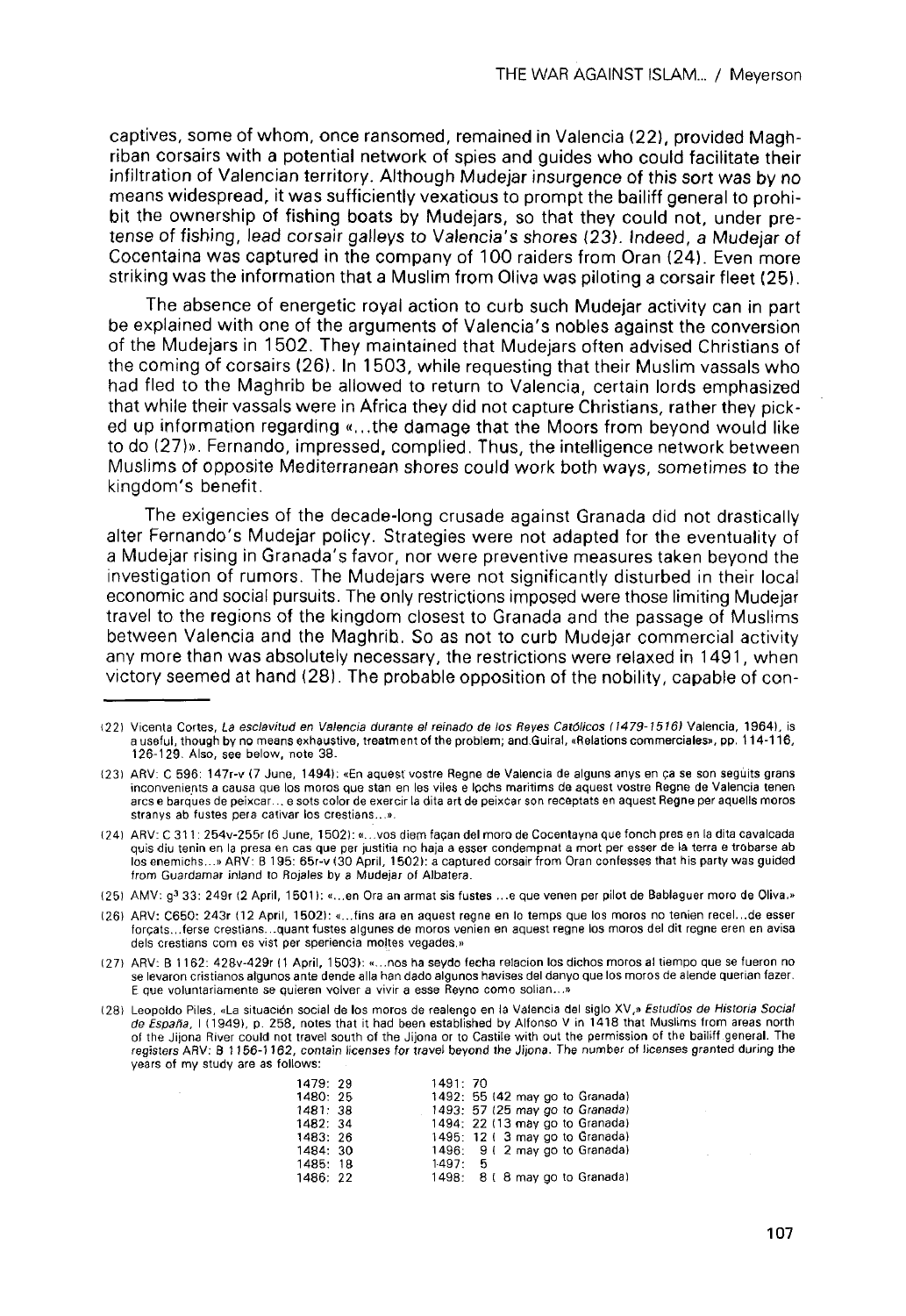captives, some of whom, once ransomed, remained in Valencia (22), provided Maghriban corsairs with a potential network oí spies and guides who could facilítate their infiltration of Valencian territory. Although Mudejar insurgence of this sort was by no means widespread, it was sufficiently vexatious to prompt the bailiff general to prohibit the ownership of fishing boats by Mudejars, so that they could not, under pretense of fishing, lead corsair galleys to Valencia's shores (23). Indeed, a Mudejar of Cocentaina was captured in the company of 100 raiders from Oran (24). Even more striking was the information that a Muslim from Oliva was piloting a corsair fleet (25).

The absence of energetic royal action to curb such Mudejar activity can in part be explained with one of the arguments of Valencia's nobles against the conversion of the Mudejars in 1502. They maintained that Mudejars often advised Christians of the coming of corsairs (26). In 1503, while requesting that their Muslim vassals who had fled to the Maghrib be allowed to return to Valencia, certain lords emphasized that while their vassals were in África they did not capture Christians, rather they picked up information regarding «...the damage that the Moors from beyond would like to do (27)». Fernando, impressed, complied. Thus, the intelligence network between Muslims of opposite Mediterranean shores could work both ways, sometimes to the kingdom's benefit.

The exigencies of the decade-long crusade against Granada did not drastically alter Fernando's Mudejar policy. Strategies were not adapted for the eventuality of a Mudejar rising in Granada's favor, ñor were preventive measures taken beyond the investigation of rumors. The Mudejars were not significantly disturbed in their local economic and social pursuits. The only restrictions imposed were those limiting Mudejar travel to the regions of the kingdom closest to Granada and the passage of Muslims between Valencia and the Maghrib. So as not to curb Mudejar commercial activity any more than was absolutely necessary, the restrictions were relaxed in 1491, when victory seemed at hand (28). The probable opposition of the nobility, capable of con-

<sup>(28)</sup> Leopoldo Piles, «La situación social de los moros de realengo en la Valencia del siglo XV,» Estudios de Historia Social de España, I (1949), p. 258, notes that it had been established by Alfonso V in 1418 that Muslims from areas north of the Jijona River could not travel south of the Jijona or to Castile with out the permission of the bailiff general. The registers ARV: B 1156-1162, contain licenses for travel beyond the Jijona. The number of licenses granted during the years of my study are as follows:

| 1479: 29 | 1491: 70 |                                 |
|----------|----------|---------------------------------|
| 1480: 25 |          | 1492: 55 (42 may go to Granada) |
| 1481: 38 |          | 1493: 57 (25 may go to Granada) |
| 1482: 34 |          | 1494: 22 (13 may go to Granada) |
| 1483: 26 |          | 1495: 12 (3 may go to Granada)  |
| 1484: 30 |          | 1496: 9 (2 may go to Granada)   |
| 1485: 18 | 1.497:5  |                                 |
| 1486: 22 | 1498:    | 8 (8 may go to Granada)         |

<sup>(22)</sup> Vicenta Cortes, La esclavitud en Valencia durante el reinado de los Reyes Católicos (1479-1516) Valencia, 1964), is a useful, though by no means exhaustive, treatment of the problem; and.Guiral, «Relations commerciales», pp. 114-116, 126-129. Also, see below, note 38.

<sup>(23)</sup> ARV: C 596: 147r-v (7 June, 14941; «En aquestvostre Regne de Valencia de alguns anys en ca se son seguits grans inconvenients a causa que los moros que stan en les viles e lochs maritims de aquest vostre Regne de Valencia teñen arcs e barques de peixcar... e sots color de exercir la dita art de peixcar son receptats en aquest Regne per aquells moros stranys ab fustes pera cativar los crestians...».

<sup>(24)</sup> ARV: C311 : 254v-255r (6 June, 1502): «...vos diem tacan del moro de Cocentayna que fonch presen la dita cavalcada quis diu tenin en la presa en cas que per justitia no haja a esser condempnat a mort per esser de la terra e trobarse ab losenemichs...» ARV: B 195: 65r-v (30 April, 1502): a captured corsair from Oran confesses that his party was guided from Guardamar inland to Rojales by a Mudejar of Albatera.

<sup>(25)</sup> AMV: g<sup>3</sup> 33: 249r (2 April, 1501): «...en Ora an armat sis fustes ...e que venen per pilot de Bablaguer moro de Oliva.»

<sup>(26)</sup> ARV: C650: 243r (12 April, 1502): «...fins ara en aquest regne en lo temps que los moros no tenien recel...de esser forgats...ferse crestians...quant fustes algunes de moros venlen en aquest regne los moros del dit regne eren en avisa deis crestians com es vist per speriencia moltes vegades.»

<sup>(27)</sup> ARV: B 1162: 428v-429r (1 April, 1503): «...nos ha seydo fecha relación los dichos moros al tiempo que se fueron no se levaron cristianos algunos ante dende alia han dado algunos havises del danyo que los moros de alende querían fazer. E que voluntariamente se quieren volver a vivir a esse Reyno como solían...»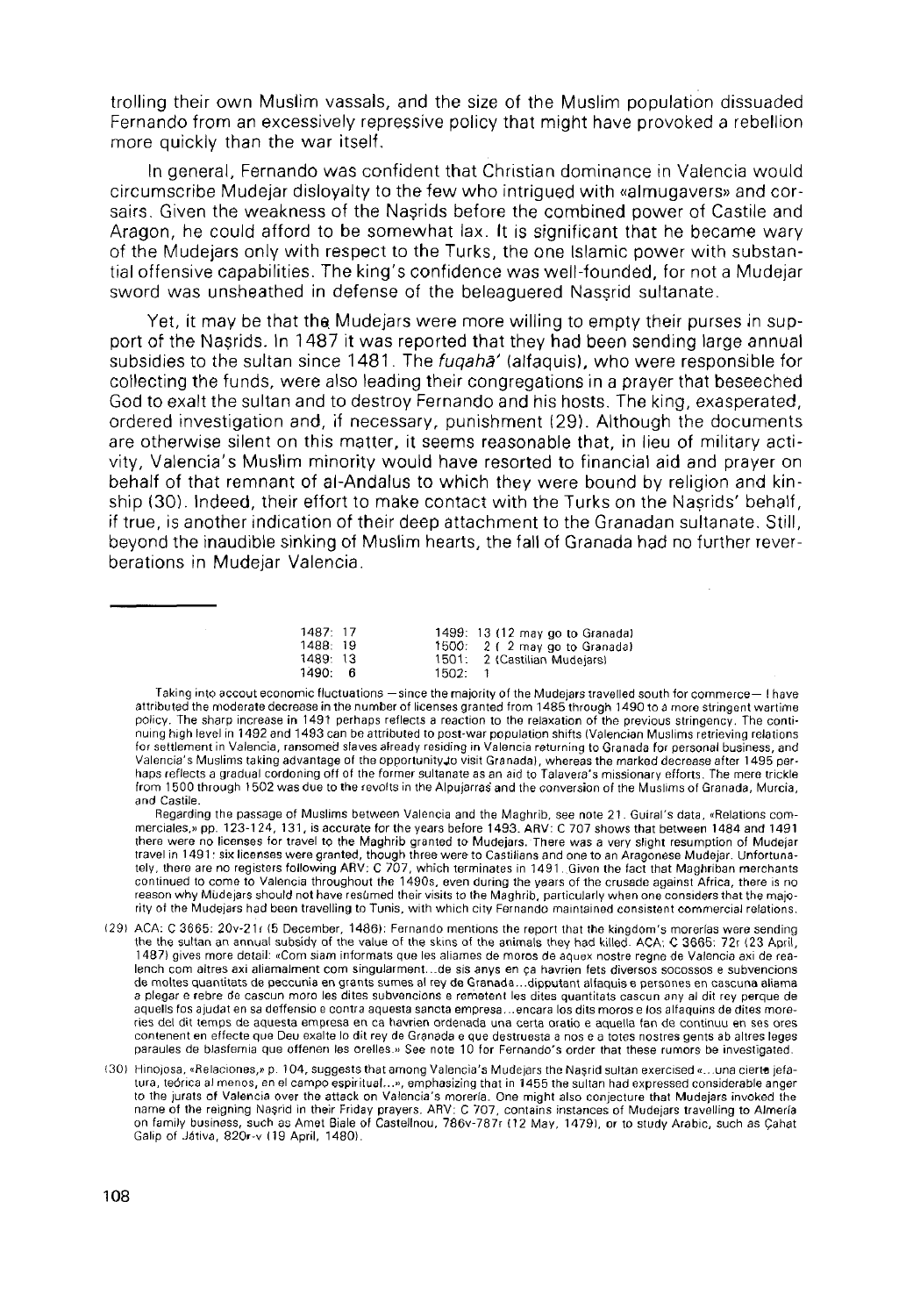trolling their own Muslim vassals, and the size of the Muslim population dissuaded Fernando from an excessively repressive policy that might have provoked a rebellion more quickly than the war itself.

In general, Fernando was confident that Christian dominance in Valencia would circumscribe Mudejar disloyalty to the few who intrigued with «almugavers» and corsairs. Given the weakness of the Nasrids before the combined power of Castile and Aragon, he could afford to be somewhat lax. It is significant that he became wary of the Mudejars only with respect to the Turks, the one Islamic power with substantial offensive capabilities. The king's confidence was well-founded, for not a Mudejar sword was unsheathed in defense of the beleaguered Nassrid sultanate.

Yet, it may be that the Mudejars were more willing to empty their purses in support of the Nasrids. In 1487 it was reported that they had been sending large annual subsidies to the sultan since 1481. The fuqaha' (alfaquis), who were responsible for collecting the funds, were also leading their congregations in a prayer that beseeched God to exalt the sultan and to destroy Fernando and his hosts. The king, exasperated, ordered investigation and, if necessary, punishment (29). Although the documents are otherwise silent on this matter, it seems reasonable that, in lieu of military activity, Valencia's Muslim minority would have resorted to financial aid and prayer on behalf of that remnant of al-Andalus to which they were bound by religion and kinship (30). Indeed, their effort to make contact with the Turks on the Nasrids' behalf, if true, is another indication of their deep attachment to the Granadan sultanate, Still, beyond the inaudible sinking of Muslim hearts, the fall of Granada had no further reverberations in Mudejar Valencia.

| 1487 17  |   |       | 1499: 13 (12 may go to Granada) |
|----------|---|-------|---------------------------------|
| 1488: 19 |   |       | 1500: 2 (2 may go to Granada)   |
| 1489: 13 |   |       | 1501: 2 (Castilian Mudejars)    |
| 1490:    | в | 1502: |                                 |

Taking into accout economic fluctuations —since the majority of the Mudejars travelled south for commerce— I have attributed the moderate decrease in the number of licenses granted from 1485 through 1490 to a more stringent wartime policy. The sharp increase in 1491 perhaps reflects a reaction to the relaxation of the previous stringency. The continuing high level in 1492 and 1493 can be attributed to post-war population shifts (Valencian Muslims retrieving relations for settlement in Valencia, ransomed slaves already residing in Valencia returning to Granada for personal business, and Valencia's Muslims taking advantage of the opportunityjo visit Granadal, whereasthe marked decrease after 1495 perhaps reflects a gradual cordoning off of the former sultanate as an aid to Talavera's missionary efforts. The mere trickle from 1500 through 1502 was due to the revolts in the Alpujarras and the conversión of the Muslims of Granada, Murcia, and Castile.

Regarding the passage of Muslims between Valencia and the Maghrib, see note 21 . Guiral's data, «Relations commerciales,» pp. 123-124, 131, is accurate for the years before 1493. ARV: C 707 shows that between 1484 and 1491 there were no licenses for travel to the Maghrib granted to Mudejars. There was a very sfight resumption of Mudejar travel in 1491: six licenses were granted, though three wereto Castilians and one to an Aragonese Mudejar. Unfortunately, there are no registers following ARV: C 707, which terminates in 1491. Given the fact that Maghriban merchants continued to come to Valencia throughout the 1490s, even during the years of the crusade against África, there is no reason why Mudejars should not have resümed their visits to the Maghrib, particularly when one considers that the majority of the Mudejars had been travelling to Tunis, with which city Fernando maintained consistent commercial relations.

- (291 ACÁ: C 3665: 20v-21r (5 December, 1486): Fernando mentions the repon that the kingdom's morerías were sending the the sultan an annual subsidy of the value of the skins of the animals they had killed. ACA: C 3665: 72r (23 April, 1487) gives more detail: «Com siam informats que les aliames de moros de aquex nostre regne de Valencia axi de realench com altres axi aliamalment com singularment...de sis anys en ça havrien fets diversos socossos e subvencions de moltes quantitats de peccunia en grants sumes al rey de Granada...dipputant alfaquis e persones en cascuna aliama a plegar e rebre de cascun moro les dites subvencions e remetent les dites quantitats cascun any al dit rey perqué de aquells fos ajudat en sa deffensio e contra aquesta sancta empresa... encara los dits moros e los alfaquins de dites morenes del dit temps de aquesta empresa en ca havrien ordenada una certa oratio e aquella fan de continuu en ses ores contenent en effecte que Deu exalte lo dit rey de Granada e que destruesta a nos e a totes nostres gents ab altres leges paraules de blasfemia que offenen les orelles.» See note 10 for Fernando's order that these rumors be investlgated.
- (30) Hinojosa, «Relaciones,» p. 104, suggests thatamong Valencia's Mudejars the Nasrid sultán exercised «...una ciertt jefatura, teórica al menos, en el campo espiritual...», emphasizing that in 1455 the sultan had expressed considerable anger to the jurats of Valencia over the attack on Valencia's morería. One might also conjecture that Mudejars invoked the name of the reigning Nașrid in their Friday prayers. ARV: C 707, contains instances of Mudejars travelling to Almería<br>on family business, such as Amet Biale of Castellnou, 786v-787r (12 May, 1479), or to study Arabic, such Galip of Játiva, 820r-v (19 April, 1480).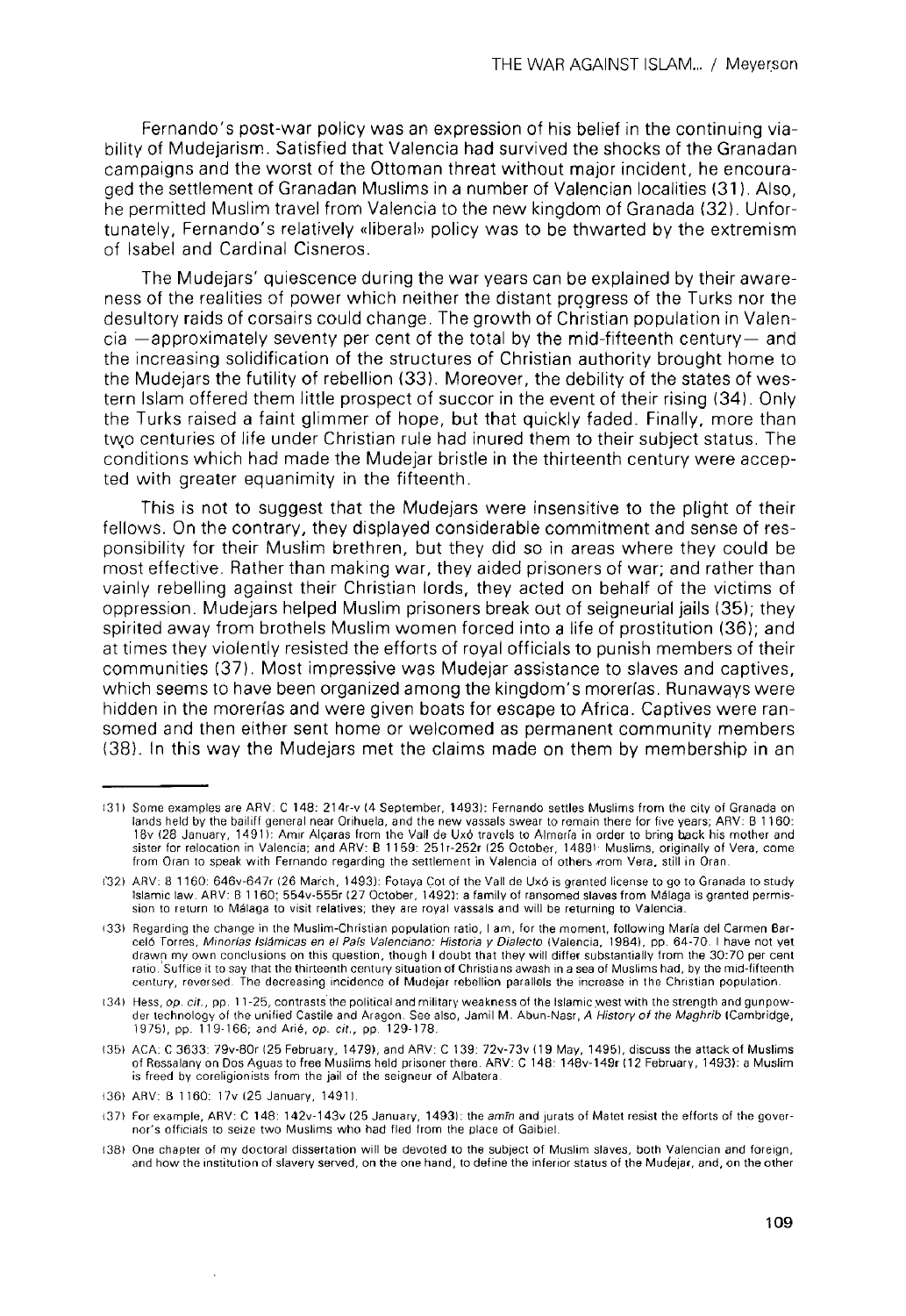Fernando's post-war policy was an expression of his belief in the continuing viability of Mudejarism. Satisfied that Valencia had survived the shocks of the Granadan campaigns and the worst of the Ottoman threat without major incident, he encouraged the settlement of Granadan Muslims in a number of Valencian localities (31). Also, he permitted Muslim travel from Valencia to the new kingdom of Granada (32). Unfortunately, Fernando's relatively «liberal» policy was to be thwarted by the extremism of Isabel and Cardinal Cisneros.

The Mudejars' quiescence during the war years can be explained by their awareness of the realities of power which neither the distant progress of the Turks ñor the desultory raids of corsairs could change. The growth of Christian population in Valencia —approximately seventy per cent of the total by the mid-fifteenth century— and the increasing solidification of the structures of Christian authority brought home to the Mudejars the futility of rebellion (33). Moreover, the debility of the States of western Islam offered them little prospect of succor in the event of their rising (34). Only the Turks raised a faint glimmer of hope, but that quickly faded. Finally, more than two centuries of life under Christian rule had inured them to their subject status. The conditions which had made the Mudejar bristle in the thirteenth century were accepted with greater equanimity in the fifteenth.

This is not to suggest that the Mudejars were insensitive to the plight of their fellows. On the contrary, they displayed considerable commitment and sense of responsibility for their Muslim brethren, but they did so in áreas where they could be most effective. Rather than making war, they aided prisoners of war; and rather than vainly rebelling against their Christian lords, they acted on behalf of the victims of oppression. Mudejars helped Muslim prisoners break out of seigneurial jails (35); they spirited away from brothels Muslim women forced into a life of prostitution (36); and at times they violently resisted the efforts of royal officials to punish members of their communities (37). Most impressive was Mudejar assistance to slaves and captives, which seems to have been organized among the kingdom's morerías. Runaways were hidden in the morerías and were given boats for escape to África. Captives were ransomed and then either sent home or welcomed as permanent community members (38). In this way the Mudejars met the claims made on them by membership in an

<sup>131)</sup> Sonne examples are ARV: C 148: 214r-v (4 September, 1493): Fernando settles Muslims from the city of Granada on lands held by the bailiff general near Orihuela, and the new vassals swear to remain there for five years; ARV: B 1160: 18v (28 January, 1491): Amir Algaras from the Valí de Uxó travels to Almería in order to bring back his mother and sister for relocation in Valencia; and ARV: B 11 59: 251r-252r (25 October, 14891' Muslims, originally of Vera, come from Oran to speak with Fernando regarding the settlement in Valencia of others  $m$ om Vera, still in Oran.

<sup>1\*32)</sup> ARV: 8 1160: 646v-647r (26 March, 1493): Fotaya Cot of the Valí de Uxó is granted license to go to Granada to study Islamic law. AR V: B 1160; 554v-555r (27 October, 1492): a family of ransomed slaves from Málaga is granted permission to return to Málaga to visit relatives; they are royal vassals and will be returning to Valencia.

<sup>(33)</sup> Regarding the change in the Muslim-Christian population ratio, I am, for the moment, following María del Carmen Barceló Torres, Minorías Islámicas en el País Valenciano: Historia y Dialecto (Valencia, 1984), pp. 64-70. I have not yet drawn my own conclusions on this question, though I doubt that they will differ substantially from the 30:70 per cent ratio. Suffice it to say that the thirteenth century situation of Christians awash in a sea of Muslims had, by the mid-fifteenth century, reversed. The decreasing incidence of Mudejar rebellion parallels the increase in the Christian population.

<sup>(34)</sup> Hess, op. cit., pp. 11-25, contrasts the political and military weakness of the Islam icwest with thestrength and gunpowder technology of the unified Castile and Aragon. See also, Jamil M. Abun-Nasr, A History of the Maghrib (Cambridge, 1975), pp. 119-166; and Arié, op. cit., pp. 129-178.

<sup>(35)</sup> ACÁ: C 3633: 79v-80r (25 February, 1479), and ARV: C 139: 72v-73v(19 May, 14951, discuss the attack of Muslims of Ressalany on Dos Aguas to free Muslims held prisoner there. ARV: C 148: 148v-149r 112 February, 1493): a Muslim is freed by coreligionists from the jail of the seigneur of Albatera.

<sup>(36)</sup> ARV: B 1160: 1 7v (25 January, 14911.

<sup>(37)</sup> For example, ARV: C 148: 142v-143v (25 January, 1493): the amín and jurats of Matet resist the efforts of the governor's officials to seize two Muslims who had fled from the place of Gaibiel.

<sup>(38)</sup> One chapter of my doctoral dissertation will be devoted to the subject of Muslim slaves, both Valencian and foreign, and how the institution of slavery served, on the one hand, to define the inferior status of the Mudejar, and, on the other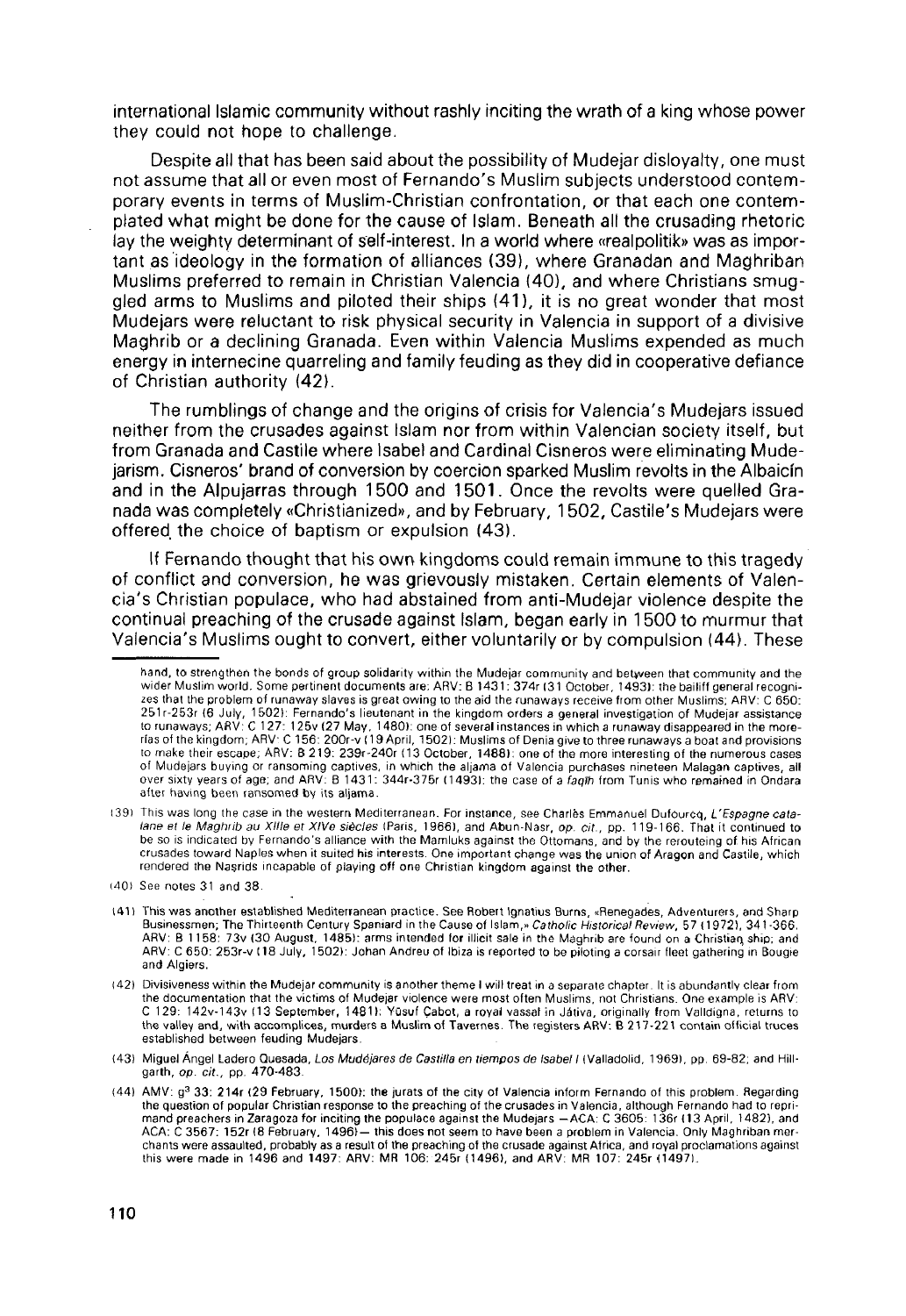international Islamic community without rashly inciting the wrath of a king whose power they could not hope to challenge.

Despite all that has been said about the possibility of Mudejar disloyalty, one must not assume that all or even most of Fernando's Muslim subjects understood contemporary events in terms of Muslim-Christian confrontation, or that each one contemptated what might be done for the cause of Islam. Beneath all the crusading rhetoric lay the weighty determinant of self-interest. In a world where «realpolitik» was as important as ideology in the formation of alliances (39), where Granadan and Maghriban Muslims preferred to remain in Christian Valencia (40), and where Christians smuggled arms to Muslims and piloted their ships (41), it is no great wonder that most Mudejars were reluctant to risk physical security in Valencia in support of a divisive Maghrib or a declining Granada. Even within Valencia Muslims expended as much energy in internecine quarreling and family feuding as they did in cooperative defiance of Christian authority (42).

The rumblings of change and the origins of crisis for Valencia's Mudejars issued neither from the crusades against Islam ñor from within Valencian society itself, but from Granada and Castile where Isabel and Cardinal Cisneros were eliminating Mudejarism. Cisneros' brand of conversión by coerción sparked Muslim revolts in the Albaicín and in the Alpujarras through 1500 and 1501. Once the revolts were quelled Granada was completely «Christianized», and by February, 1502, Castile's Mudejars were offered the choice of baptism or expulsión (43).

If Fernando thought that his own kingdoms could remain immune to this tragedy of conflict and conversión, he was grievously mistaken. Certain elements of Valencia's Christian populace, who had abstained from anti-Mudejar violence despite the continual preaching of the crusade against Islam, began early in 1500 to murmur that Valencia's Muslims ought to convert, either voluntarily or by compulsión (44). These

hand, to strengthen the bonds of group solidarity within the Mudejar community and between that community and the<br>wider Muslim world. Some pertinent documents are: ARV: B 1431: 374r (31 October, 1493): the bailiff general zes that the problem of runaway slaves is great owing to the aid the runaways receive from other Muslims; ARV: C 650: 251r-253r (6 July, 1502): Fernando's lieutenant in the kingdom orders a general investigation of Mudejar assistance<br>to runaways; ARV: C 127: 125v (27 May, 1480): one of several instances in which a runaway disappeared in t of Mudejars buying or ransoming captives, in which the aljama of Valencia purchases nineteen Malagan captives, all<br>over sixty vears of age: and ARV: B 1431: 344r-375r (1493): the case of a fagih from Tunis who remained in after having been ransomed by its aljama.

<sup>139)</sup> This was long the case in the westem Mediterranean. For instance, see Charles Emmanuel Dufourcq, L'Espagne catalane et le Maghrib au XIIIe et XIVe siècles (Paris, 1966), and Abun-Nasr, op. cit., pp. 119-166. That it continued to tative strive wagter to call the United States in the Mamluks against the Ottomans, and by the rerouteing of his African crusades toward Naples when it suited his interests. One important change was the union of Aragon and Castile, which rendered the Nasrids incapable of playing off one Christian kingdom against the other.

<sup>(401</sup> See notes 31 and 38.

<sup>(411</sup> This was another established Mediterranean practice. See Robert Ignatius Bums, «Renegades, Adventurers, and Sharp Businessmen; The Thirteenth Century Spaniard in the Cause of Islam,» Catholic Historical Review, 57 (1972), 341-366. ARV: B 1158: 73v (30 August, 1485): arms intended for illicit sale in the Maghrib are found on a Christian, ship; and ARV: C 650: 253r-v (18 July, 1 502): Johan Andreu of Ibiza is reponed to be piloting a corsaír fleet gathering in Bougie and Algiers.

<sup>(42)</sup> Divisiveness within the Mudejar community is another theme I will treat in a sepárate chapter. It is abundantly clear from the documentation that the victims of Mudejar violence were most often Muslims, not Christians. One example is ARV: C 129: 142v-143v (13 September, 14811: Yüsuf Cabot, a royal vassat in Játiva, originally from Valldigna, returns to the valley and, with accomplices, murders a Muslim of Tavemes. The registers ARV: B 217-221 contain official truces established between feuding Mudejars.

<sup>(43)</sup> Miguel Ángel Ladero Quesada, Los Mudejares de Castilla en tiempos de Isabel I (Valladolid, 1969), pp. 69-82; and Hillgarth, op. cit., pp. 470-483.

<sup>(44)</sup> AMV: g<sup>3</sup> 33: 214r (29 February, 1500): the jurats of the city of Valencia inform Fernando of this problem. Regarding the question of popular Christian response to the preaching of the crusades in Valencia, although Fernando had to reprimand preachers in Zaragoza for inciting the populace against the Mudejars —ACÁ: C 3605: 136r (13 April, 1482), and ACA: C 3567: 152r (8 February, 1496) — this does not seem to have been a problem in Valencia. Only Maghriban merchants were assaulted, probably as a result of the preaching of the crusade against África, and royal proclamations against this were made in 1496 and 1497: ARV: MR 106: 245r (1496), and ARV: MR 107: 245r (14971.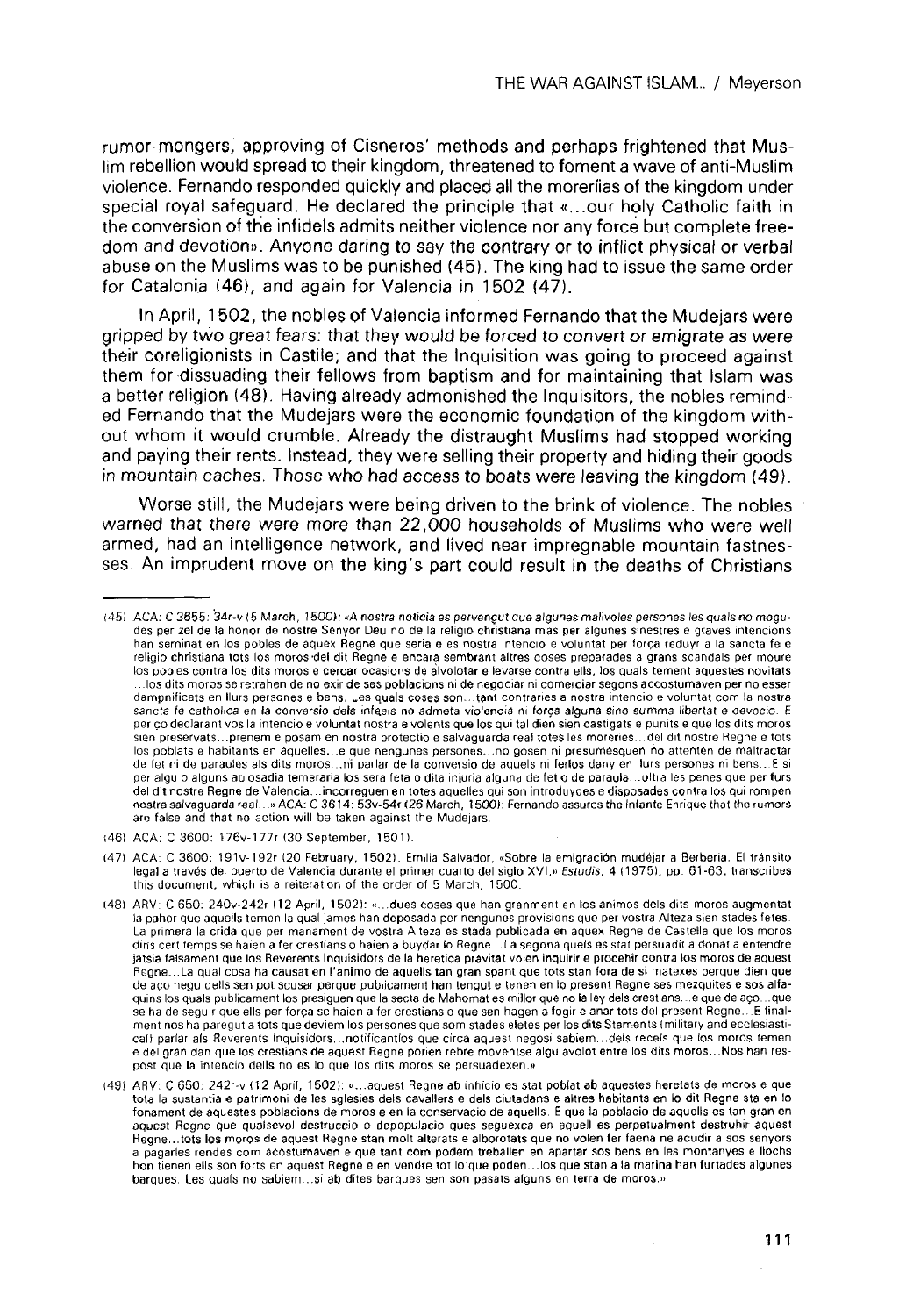rumor-mongers, approving of Cisneros' methods and perhaps frightened that Muslim rebellion would spread to their kingdom, threatened to foment a wave of anti-Musüm violence. Fernando responded quickiy and placed all the moreríias of the kingdom under special royal safeguard. He declared the principie that «...our holy Catholic faith in the conversión of the infidels admits neither violence ñor any forcé but complete freedom and devotion». Anyone daring to say the contrary or to inflict physical or verbal abuse on the Muslims was to be punished (45). The king had to issue the same order for Catalonia (46), and again for Valencia in 1502 (47).

In April, 1502, the nobles of Valencia informed Fernando that the Mudejars were gripped by two great fears: that they would be forced to convert or emigrate as were their coreligionists in Castile; and that the Inquisition was going to proceed against them for dissuading their fellows from baptism and for maintaining that Islam was a better religión (48). Having already admonished the Inquisitors, the nobles reminded Fernando that the Mudejars were the economic foundation of the kingdom without whom it would crumble. Already the distraught Muslims had stopped working and paying their rents. Instead, they were selling their property and hiding their goods in mountain caches. Those who had access to boats were leaving the kingdom (49),

Worse still, the Mudejars were being driven to the brink of violence. The nobles warned that there were more than 22,000 households of Muslims who were well armed, had an intelligence network, and lived near impregnable mountain fastnesses. An imprudent move on the king's part could result in the deaths of Christians

(47) ACÁ: C 3600: I91v-192r (20 February, 1502)- Emilia Salvador, «Sobre la emigración mudejar a Berberia. El tránsito legal a través del puerto de Valencia durante el primer cuarto del siglo XVI,» Estudis, 4 (1975), pp. 61-63, transcribes this document, which is a reiteration of the order of 5 March, 1500.

<sup>(45)</sup> ACA: C 3655: 34r-v (5 March, 1500): «A nostra noticia es pervengut que algunes malivoles persones les quals no mogudes per zel de la honor de nostre Senyor Deu no de la religio christiana mas per algunes sinestres e graves intencions han seminat en los pobles de aquex Regne que seria e es nostra intencio e voluntat per força reduyr a la sancta fe e religio christiana tots los moros del dit Regne e encara sembrant altres coses preparades a grans scandals per moure los pobles contra los dits moros e cercar ocasions de alvolotar e levarse contra ells, los quals tement aqüestes novitats ... los dits moros se retrahen de no exir de ses poblacions ni de negociar ni comerciar segons accostumaven per no esser dampnificats en llurs persones e bens. Les quals coses son...tant contraríes a nostra intencio e voluntat com la nostra sancta fe catholica en la conversio dels infeels no admeta violencia ni força alguna sino summa libertat e devocio. E per co declarant vos la intencio e voluntat nostra e volents que los qui tal dien sien castigats e punits e que los dits moros sien preservats.-.prenem e posam en nostra protectio e salvaguarda real totes les moreries...del dit nostre Regne e tots los poblats e habitants en aquelles...e que nengunes persones...no gosen ni presumesquen ño atienten de maltractar de fet ni de paraules ais dits moros,..ni parlar de la conversio de aquels ni ferlos dany en llurs persones ni bens...E si per algu o alguns ab osadía temeraria los sera feta o dita injuria alguna de feto de paraula...ultra les penes que per furs del dit nostre Regne de Valencia... incorreguen en totes aquelles qui son introduydes e disposades contra los qui rompen<br>postra selvaguarda real un ACA: C.3614: 530-545126 March 1500): Fernando assures the Infante Enrique are false and that no action will be taken against the Mudejars.

<sup>¡46)</sup> ACÁ: C 3600: t76v-177r (30 September, 1501).

<sup>(48)</sup> ARV: C 650: 240v-242r 112 April, 1502): «...dues coses que han granment en los ánimos deis dits moros augmentat la pahor que aquells temen la qual james han deposada per nengunes provisions que per vostra Alteza sien stades fetes. La primera la crida que per manament de vostra Alteza es stada publicada en aquex Regne de Casteila que los moros dins cert temps se haien a fer crestians o haien a buydar lo Regne...La segona quels es stat persuadit a donat a entendre jatsia falsament que los Reverents Inquisidors de la herética pravitat volen inquirir e procehir contra los moros de aquest Regne...La qual cosa ha causat en l'animo de aquells tan gran spant que tots stan fora de si matexes perqué dien que de aco negu dells sen pot scusar perque publicament han tengut e tenen en lo present Regne ses mezquites e sos alfaquins los quals publicament los presiguen que la secta de Mahomat es millor que no la ley dels crestians...e que de aço...que se ha de seguir que ells per forca se haien a fer crestians o que sen hagen a fogire anar tots del present Regne...E finalment nos ha paregut a tots que deviem los persones quesom stades eletes per los ditsStaments (military and ecclesiastical) parlar als Reverents Inquisidors...notificantlos que circa aquest negosi sabiem...dels receis que los moros temen e del gran dan que los crestians de aquest Regne ponen rebre moventse algu avolot entre los dits moros...Nos han respost que la intencio dells no es lo que los dits moros se persuadexen.»

<sup>(49)</sup> ARV: C 650: 242r-v (12 April, 1502): «...aquest Regne ab inhicio es stat poblat ab aqüestes heretats de moros e que tota la sustantia e patrimoni de les sglesies deis cavallers e deis ciutadans e altres habitants en lo dit Regne sta en lo fonament de aqüestes poblacions de moros e en la conservacio de aquells. E que la poblacio de aquells es tan gran en aquest Regne que qualsevol destruccio o depopulacio ques seguexca en aquell es perpetualment destruhtr aquest Regne...tots los moros de aquest Regne stan molt alterats e alborotats que no volen fer faena ne acudir a sos senyors a pagarles rendes com acostumaven e que tant com podem treballen en apartar sos bens en les montanyes e llochs hon tienen ells son forts en aquest Regne e en vendre tot lo que poden...los que stan a la marina han furtades algunes barques. Les quals no sabiem...si ab dites barques sen son pasats alguns en terra de moros.»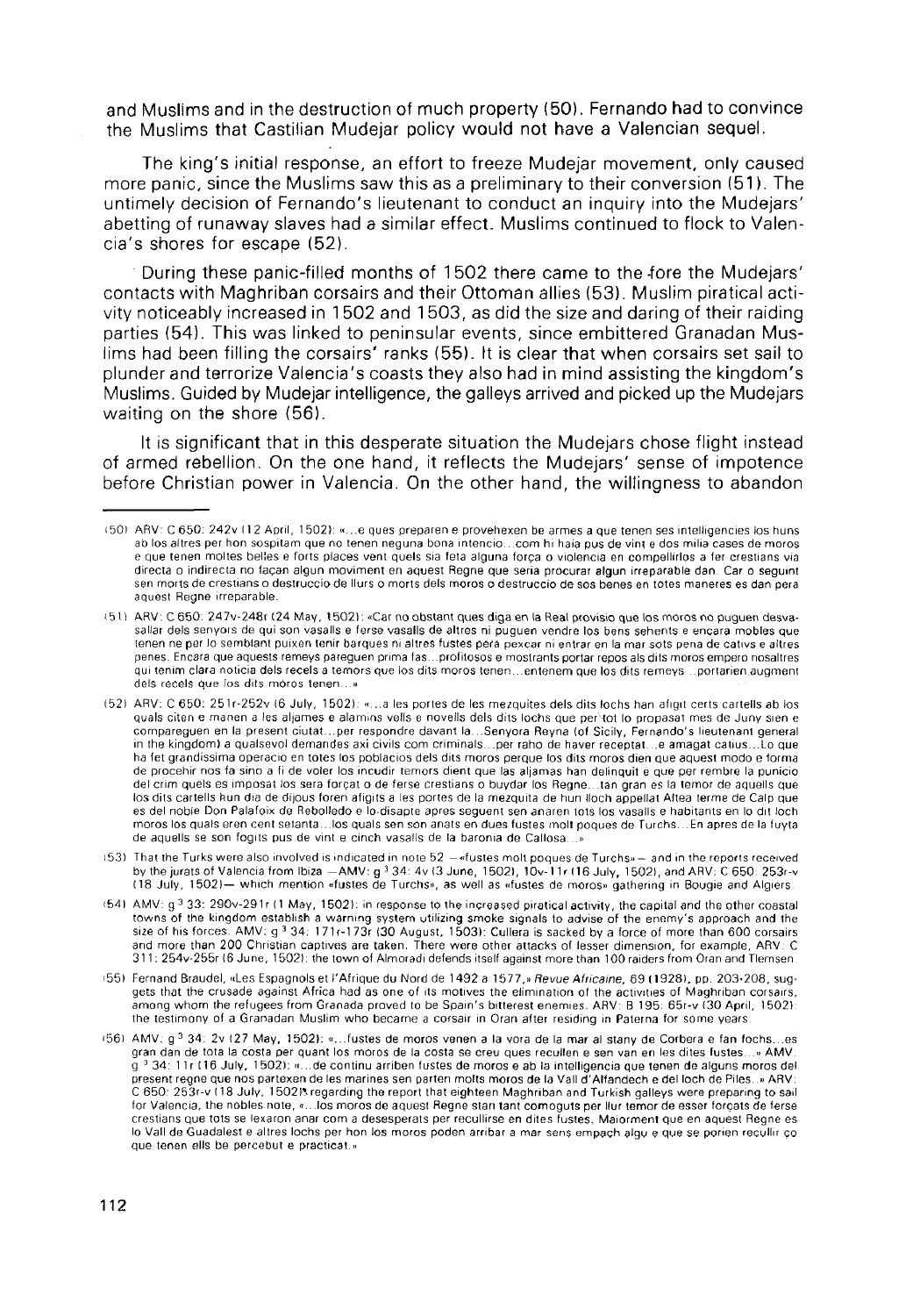and Muslims and in the destruction of much property (50). Fernando had to convince the Muslims that Castilian Mudejar policy woutd not have a Valencian sequel.

The king's initial response, an effort to freeze Mudejar movement, only caused more panic, since the Muslims saw this as a preliminary to their conversion (51). The untimely decisión of Fernando's lieutenant to conduct an inquiry into the Mudejars' abetting of runaway slaves had a similar effect. Muslims continued to flock to Valencia's shores for escape (52).

During these panic-filled months of 1502 there came to the fore the Mudejars' contacts with Maghriban corsairs and their Ottoman allies (53). Muslím piratical activity noticeably increased in 1 502 and 1 503, as did the size and daring of their raiding parties (54). This was linked to peninsular events, since embittered Granadan Muslims had been filling the corsairs' ranks (55). It is clear that when corsairs set sail to plunder and terrorize Valencia's coasts they also had in mind assisting the kingdom's Muslims. Guided by Mudejar ¡ntelligence, the galleys arrived and picked up the Mudejars waiting on the shore (56).

It is significant that in this desperate situation the Mudejars chose flight instead of armed rebellion. On the one hand, it reflects the Mudejars' sense of impotence before Christian power in Valencia. On the other hand, the willingness to abandon

<sup>(50)</sup> ARV: C 650: 242v (1 2 April, 1 502): «...e ques preparen e provehexen be armes a que teñen ses inteliigencies ios huns ab los altres per hon sospitam que no tenen neguna bona intencio...com hi haia pus de vint e dos milia cases de moros e que tenen moltes belles e forts places vent quels sia feta alguna força o violencia en compellirlos a fer crestians via directa o indirecta no façan algun moviment en aquest Regne que seria procurar algun irreparable dan. Car o seguint sen morís de crestians o destruccio de llurs o morts deis moros o destruccio de sos benes en totes maneres es dan pera aquest Regne irreparable.

<sup>(51)</sup> ARV: C 650: 247v-248r (24 May, 1502): «Car no obstant ques diga en la Real provisio que los moros no puguen desvasalíar deis senyors de qui son vasalls e ferse vasalls de altres ni puguen vendré los bens sehents e encara mobles que teñen ne per lo semblant puixen teñir barques ni altres fustes pera pexcar ni entrar en la mar sots pena de cativs e altres penes. Encara que aquests remeys pareguen prima fas...profitosos e mostrants portar repos als dits moros empero nosaltres qui tenim clara noticia dels recels a temors que los dits moros tenen... entenem que los dits remeys... portarien augment dels recels que los dits moros teñen...»

<sup>(52)</sup> ARV: C 650: 251r-252v (6 July, 1502): «...a les portes de les mezquites deis dits lochs han afigit certs cartells ab ios quals citen e manen a les aljames e alamins vells e novells dels dits lochs que per tot lo propasat mes de Juny sien e compareguen en la present ciutat...per respondre davant la...Senyora Reyna (of Sicily, Fernando's lieutenant general in the kingdom) a qualsevol demandes axi civils com criminals...per raho de haver receptat...e amagat catius...Lo que ha fet grandissima operacio en totes los poblacios dels dits moros perque los dits moros dien que aquest modo e forma de procehir nos fa sino a fi de voier los incudir temors dient que las aljamas han delinquit e que per rembre la punicio del crim quels es imposat los sera forcat o de ferse crestians o buydar los Regne...tan gran es la temor de aquells que los dits cartells hun día de dijous foren afigits a les portes de la mezquita de hun lloch appellat Altea terme de Calp que es del noble Don Palafoix de Rebolledo e lo.disapte apres seguent sen anaren lots los vasalls e habitants en lo dit ioch moros los quals eren cent setanta...los quals sen son anats en dues fustes molt poques de Turchs...En apres de la fuyla de aquells se son fogits pus de vint e cinch vasalls de la baronia de Callosa...

<sup>(53)</sup> That the Turks were also involved is indicated in note 52 -«fustes molt poques de Turchs» - and in the reports received by the jurats of Valencia from Ibiza  $-AMV$ : g<sup>3</sup> 34: 4v (3 June, 1502), 10v-11r (16 July, 1502), and ARV: C 650: 253r-v (18 July, 15021— which mention «fustes de Turchs», as well as «fustes de moros» gathering in Bougie and Algiers.

<sup>(54)</sup> AMV: g <sup>3</sup> 33: 290v-291r (1 May, 1502): in response to the increased piratical activity, the capital and the other coastal towns of the kingdom establish a warning system utilizing smoke signáis to advise of the enemy's approach and the size of his forces. AMV: g 3 34: 171r-173r (30 August, 1503): Cullera is sacked by a force of more than 600 corsairs and more than 200 Christian captives are taken. There were other attacks of lesser dimensión, for exampíe, ARV: C 311: 254v-255r (6 June, 1502): the town of Almoradi defends itself against more than 100 raiders from Oran and Tlemsen

<sup>(55)</sup> Fernand Braudel, «Les Espagnols et l'Afrique du Nord de 1492 a 1577,» Revue Afrícaine, 69 (1928), pp. 203-208, suggets that the crusade against África had as one of its motives the eiimination of the activities of Maghriban corsairs, among whom the refugees from Granada proved to be Spain's bitterest enemies. ARV: B 195: 65r-v (30 April, 1502): the testimony of a Granadan Muslim who became a corsair in Oran after residing in Paterna for some years.

i56) AMV: g<sup>3</sup> 34: 2v (27 May, 1502): «...fustes de moros venen a la vora de la mar al stany de Corbera e fan fochs...es gran dan de tota la costa per quant los moros de la costa se creu ques recullen e sen van en les dites fustes...» AMV.  $\frac{1}{9}$  3 34: 11r (16 July, 1502): «...de continu arriben fustes de moros e ab la intelligencia que teñen de alguns moros del present regne que nos partexen de les marines sen parten molts moros de la Vall d'Alfandech e del loch de Piles..» ARV: C 650: 253r-v (18 July, 1502). regarding the report that eighteen Maghriban and Turkish galleys were preparing to sail for Vaíencia, the nobles note, «...los moros de aquest Regne stan tant comoguts per llur temor de esser forcats de ferse crestians que tots se lexaron anar com a desesperáis per recullirse en dites fustes, Maiorment que en aquest Regne es lo Vall de Guadalest e altres lochs per hon los moros poden arribar a mar sens empach algu e que se porien recullir co que teñen ells be percebut e practicat.»